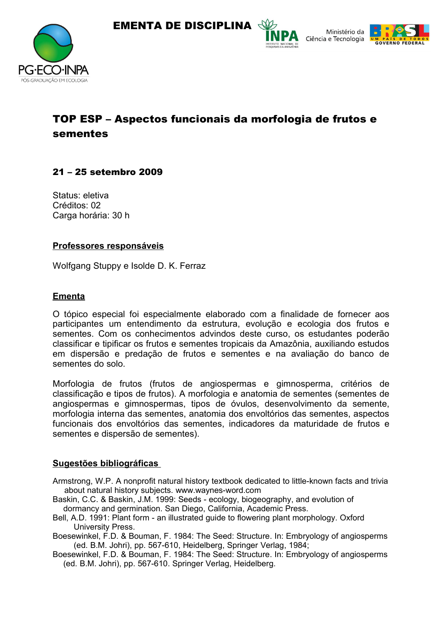





# TOP ESP – Aspectos funcionais da morfologia de frutos e sementes

## 21 – 25 setembro 2009

Status: eletiva Créditos: 02 Carga horária: 30 h

### **Professores responsáveis**

Wolfgang Stuppy e Isolde D. K. Ferraz

### **Ementa**

O tópico especial foi especialmente elaborado com a finalidade de fornecer aos participantes um entendimento da estrutura, evolução e ecologia dos frutos e sementes. Com os conhecimentos advindos deste curso, os estudantes poderão classificar e tipificar os frutos e sementes tropicais da Amazônia, auxiliando estudos em dispersão e predação de frutos e sementes e na avaliação do banco de sementes do solo.

Morfologia de frutos (frutos de angiospermas e gimnosperma, critérios de classificação e tipos de frutos). A morfologia e anatomia de sementes (sementes de angiospermas e gimnospermas, tipos de óvulos, desenvolvimento da semente, morfologia interna das sementes, anatomia dos envoltórios das sementes, aspectos funcionais dos envoltórios das sementes, indicadores da maturidade de frutos e sementes e dispersão de sementes).

### **Sugestões bibliográficas**

- Armstrong, W.P. A nonprofit natural history textbook dedicated to little-known facts and trivia about natural history subjects. www.waynes-word.com
- Baskin, C.C. & Baskin, J.M. 1999: Seeds ecology, biogeography, and evolution of dormancy and germination. San Diego, California, Academic Press.
- Bell, A.D. 1991: Plant form an illustrated guide to flowering plant morphology. Oxford University Press.
- Boesewinkel, F.D. & Bouman, F. 1984: The Seed: Structure. In: Embryology of angiosperms (ed. B.M. Johri), pp. 567-610, Heidelberg, Springer Verlag, 1984;
- Boesewinkel, F.D. & Bouman, F. 1984: The Seed: Structure. In: Embryology of angiosperms (ed. B.M. Johri), pp. 567-610. Springer Verlag, Heidelberg.